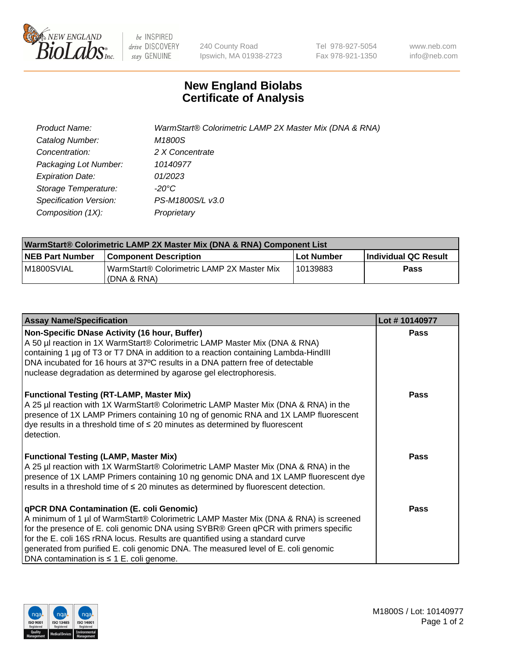

be INSPIRED drive DISCOVERY stay GENUINE

240 County Road Ipswich, MA 01938-2723 Tel 978-927-5054 Fax 978-921-1350 www.neb.com info@neb.com

## **New England Biolabs Certificate of Analysis**

| Product Name:           | WarmStart® Colorimetric LAMP 2X Master Mix (DNA & RNA) |
|-------------------------|--------------------------------------------------------|
| Catalog Number:         | M1800S                                                 |
| Concentration:          | 2 X Concentrate                                        |
| Packaging Lot Number:   | 10140977                                               |
| <b>Expiration Date:</b> | 01/2023                                                |
| Storage Temperature:    | -20°C                                                  |
| Specification Version:  | PS-M1800S/L v3.0                                       |
| Composition (1X):       | Proprietary                                            |

| WarmStart® Colorimetric LAMP 2X Master Mix (DNA & RNA) Component List |                                                           |            |                      |  |
|-----------------------------------------------------------------------|-----------------------------------------------------------|------------|----------------------|--|
| <b>NEB Part Number</b>                                                | <b>Component Description</b>                              | Lot Number | Individual QC Result |  |
| IM1800SVIAL                                                           | WarmStart® Colorimetric LAMP 2X Master Mix<br>(DNA & RNA) | 10139883   | Pass                 |  |

| <b>Assay Name/Specification</b>                                                                                                                                                                                                                                                                                                                                                                                                                         | Lot #10140977 |
|---------------------------------------------------------------------------------------------------------------------------------------------------------------------------------------------------------------------------------------------------------------------------------------------------------------------------------------------------------------------------------------------------------------------------------------------------------|---------------|
| Non-Specific DNase Activity (16 hour, Buffer)<br>A 50 µl reaction in 1X WarmStart® Colorimetric LAMP Master Mix (DNA & RNA)<br>containing 1 µg of T3 or T7 DNA in addition to a reaction containing Lambda-HindIII<br>DNA incubated for 16 hours at 37°C results in a DNA pattern free of detectable<br>nuclease degradation as determined by agarose gel electrophoresis.                                                                              | <b>Pass</b>   |
| <b>Functional Testing (RT-LAMP, Master Mix)</b><br>A 25 µl reaction with 1X WarmStart® Colorimetric LAMP Master Mix (DNA & RNA) in the<br>presence of 1X LAMP Primers containing 10 ng of genomic RNA and 1X LAMP fluorescent<br>$\alpha$ dye results in a threshold time of $\leq$ 20 minutes as determined by fluorescent<br>detection.                                                                                                               | Pass          |
| <b>Functional Testing (LAMP, Master Mix)</b><br>A 25 µl reaction with 1X WarmStart® Colorimetric LAMP Master Mix (DNA & RNA) in the<br>presence of 1X LAMP Primers containing 10 ng genomic DNA and 1X LAMP fluorescent dye<br>results in a threshold time of $\leq$ 20 minutes as determined by fluorescent detection.                                                                                                                                 | <b>Pass</b>   |
| <b>qPCR DNA Contamination (E. coli Genomic)</b><br>A minimum of 1 µl of WarmStart® Colorimetric LAMP Master Mix (DNA & RNA) is screened<br>for the presence of E. coli genomic DNA using SYBR® Green qPCR with primers specific<br>for the E. coli 16S rRNA locus. Results are quantified using a standard curve<br>generated from purified E. coli genomic DNA. The measured level of E. coli genomic<br>DNA contamination is $\leq 1$ E. coli genome. | <b>Pass</b>   |